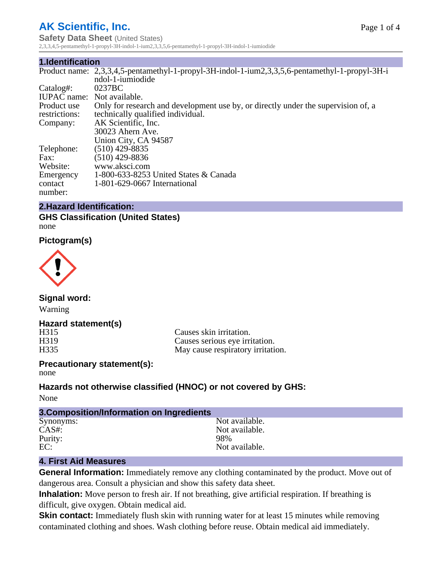## **AK Scientific, Inc.**

**Safety Data Sheet** (United States) 2,3,3,4,5-pentamethyl-1-propyl-3H-indol-1-ium2,3,3,5,6-pentamethyl-1-propyl-3H-indol-1-iumiodide

#### **1.Identification**

|                            | Product name: 2,3,3,4,5-pentamethyl-1-propyl-3H-indol-1-ium2,3,3,5,6-pentamethyl-1-propyl-3H-i |  |  |
|----------------------------|------------------------------------------------------------------------------------------------|--|--|
|                            | ndol-1-iumiodide                                                                               |  |  |
| Catalog#:                  | 0237BC                                                                                         |  |  |
| IUPAC name: Not available. |                                                                                                |  |  |
| Product use                | Only for research and development use by, or directly under the supervision of, a              |  |  |
| restrictions:              | technically qualified individual.                                                              |  |  |
| Company:                   | AK Scientific, Inc.                                                                            |  |  |
|                            | 30023 Ahern Ave.                                                                               |  |  |
|                            | Union City, CA 94587                                                                           |  |  |
| Telephone:                 | $(510)$ 429-8835                                                                               |  |  |
| Fax:                       | $(510)$ 429-8836                                                                               |  |  |
| Website:                   | www.aksci.com                                                                                  |  |  |
| Emergency                  | 1-800-633-8253 United States & Canada                                                          |  |  |
| contact                    | 1-801-629-0667 International                                                                   |  |  |
| number:                    |                                                                                                |  |  |

## **2.Hazard Identification:**

**GHS Classification (United States)** none

**Pictogram(s)**



**Signal word:** Warning

## **Hazard statement(s)**

H315 Causes skin irritation.<br>
H319 Causes serious eve irri H319 Causes serious eye irritation.<br>H335 May cause respiratory irritation. May cause respiratory irritation.

#### **Precautionary statement(s):** none

**Hazards not otherwise classified (HNOC) or not covered by GHS:**

None

| 3. Composition/Information on Ingredients |                |
|-------------------------------------------|----------------|
| Synonyms:                                 | Not available. |
| $CAS#$ :                                  | Not available. |
| Purity:                                   | 98%            |
| EC:                                       | Not available. |

## **4. First Aid Measures**

**General Information:** Immediately remove any clothing contaminated by the product. Move out of dangerous area. Consult a physician and show this safety data sheet.

**Inhalation:** Move person to fresh air. If not breathing, give artificial respiration. If breathing is difficult, give oxygen. Obtain medical aid.

**Skin contact:** Immediately flush skin with running water for at least 15 minutes while removing contaminated clothing and shoes. Wash clothing before reuse. Obtain medical aid immediately.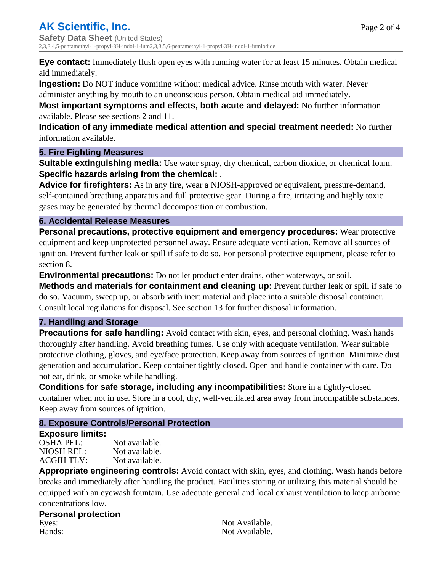**Eye contact:** Immediately flush open eyes with running water for at least 15 minutes. Obtain medical aid immediately.

**Ingestion:** Do NOT induce vomiting without medical advice. Rinse mouth with water. Never

administer anything by mouth to an unconscious person. Obtain medical aid immediately.

**Most important symptoms and effects, both acute and delayed:** No further information available. Please see sections 2 and 11.

**Indication of any immediate medical attention and special treatment needed:** No further information available.

## **5. Fire Fighting Measures**

**Suitable extinguishing media:** Use water spray, dry chemical, carbon dioxide, or chemical foam. **Specific hazards arising from the chemical:** .

**Advice for firefighters:** As in any fire, wear a NIOSH-approved or equivalent, pressure-demand, self-contained breathing apparatus and full protective gear. During a fire, irritating and highly toxic gases may be generated by thermal decomposition or combustion.

## **6. Accidental Release Measures**

**Personal precautions, protective equipment and emergency procedures:** Wear protective equipment and keep unprotected personnel away. Ensure adequate ventilation. Remove all sources of ignition. Prevent further leak or spill if safe to do so. For personal protective equipment, please refer to section 8.

**Environmental precautions:** Do not let product enter drains, other waterways, or soil.

**Methods and materials for containment and cleaning up:** Prevent further leak or spill if safe to do so. Vacuum, sweep up, or absorb with inert material and place into a suitable disposal container. Consult local regulations for disposal. See section 13 for further disposal information.

## **7. Handling and Storage**

**Precautions for safe handling:** Avoid contact with skin, eyes, and personal clothing. Wash hands thoroughly after handling. Avoid breathing fumes. Use only with adequate ventilation. Wear suitable protective clothing, gloves, and eye/face protection. Keep away from sources of ignition. Minimize dust generation and accumulation. Keep container tightly closed. Open and handle container with care. Do not eat, drink, or smoke while handling.

**Conditions for safe storage, including any incompatibilities:** Store in a tightly-closed container when not in use. Store in a cool, dry, well-ventilated area away from incompatible substances. Keep away from sources of ignition.

## **8. Exposure Controls/Personal Protection**

## **Exposure limits:**

OSHA PEL: Not available. NIOSH REL: Not available.<br>ACGIH TLV: Not available. ACGIH TLV:

**Appropriate engineering controls:** Avoid contact with skin, eyes, and clothing. Wash hands before breaks and immediately after handling the product. Facilities storing or utilizing this material should be equipped with an eyewash fountain. Use adequate general and local exhaust ventilation to keep airborne concentrations low.

# **Personal protection** Eyes: Not Available.<br>
Hands: Not Available.<br>
Not Available.

Not Available.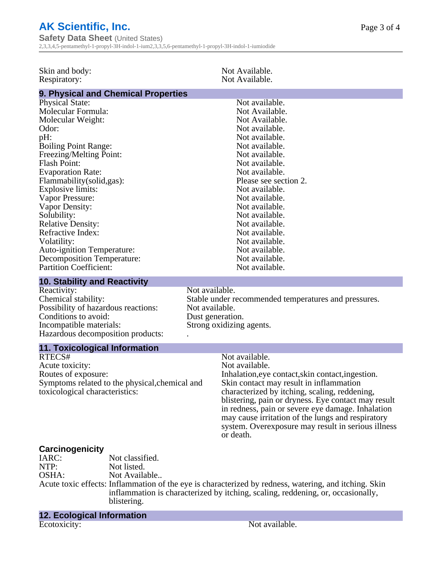|  |  | <b>AK Scientific, Inc.</b> |  |
|--|--|----------------------------|--|
|--|--|----------------------------|--|

**Safety Data Sheet** (United States) 2,3,3,4,5-pentamethyl-1-propyl-3H-indol-1-ium2,3,3,5,6-pentamethyl-1-propyl-3H-indol-1-iumiodide

| Skin and body:<br>Respiratory:                                                                                                                                                                                                                                                                                                                                                                                                                                                   | Not Available.<br>Not Available.                                                                                                                                                                                                                                                                                                                                                                                      |  |
|----------------------------------------------------------------------------------------------------------------------------------------------------------------------------------------------------------------------------------------------------------------------------------------------------------------------------------------------------------------------------------------------------------------------------------------------------------------------------------|-----------------------------------------------------------------------------------------------------------------------------------------------------------------------------------------------------------------------------------------------------------------------------------------------------------------------------------------------------------------------------------------------------------------------|--|
| 9. Physical and Chemical Properties                                                                                                                                                                                                                                                                                                                                                                                                                                              |                                                                                                                                                                                                                                                                                                                                                                                                                       |  |
| <b>Physical State:</b><br>Molecular Formula:<br>Molecular Weight:<br>Odor:<br>pH:<br><b>Boiling Point Range:</b><br>Freezing/Melting Point:<br><b>Flash Point:</b><br><b>Evaporation Rate:</b><br>Flammability (solid, gas):<br>Explosive limits:<br>Vapor Pressure:<br>Vapor Density:<br>Solubility:<br><b>Relative Density:</b><br>Refractive Index:<br>Volatility:<br><b>Auto-ignition Temperature:</b><br><b>Decomposition Temperature:</b><br><b>Partition Coefficient:</b> | Not available.<br>Not Available.<br>Not Available.<br>Not available.<br>Not available.<br>Not available.<br>Not available.<br>Not available.<br>Not available.<br>Please see section 2.<br>Not available.<br>Not available.<br>Not available.<br>Not available.<br>Not available.<br>Not available.<br>Not available.<br>Not available.<br>Not available.<br>Not available.                                           |  |
| <b>10. Stability and Reactivity</b>                                                                                                                                                                                                                                                                                                                                                                                                                                              |                                                                                                                                                                                                                                                                                                                                                                                                                       |  |
| Reactivity:<br>Chemical stability:<br>Possibility of hazardous reactions:<br>Conditions to avoid:<br>Incompatible materials:<br>Hazardous decomposition products:                                                                                                                                                                                                                                                                                                                | Not available.<br>Stable under recommended temperatures and pressures.<br>Not available.<br>Dust generation.<br>Strong oxidizing agents.                                                                                                                                                                                                                                                                              |  |
| <b>11. Toxicological Information</b>                                                                                                                                                                                                                                                                                                                                                                                                                                             |                                                                                                                                                                                                                                                                                                                                                                                                                       |  |
| RTECS#<br>Acute toxicity:<br>Routes of exposure:<br>Symptoms related to the physical, chemical and<br>toxicological characteristics:                                                                                                                                                                                                                                                                                                                                             | Not available.<br>Not available.<br>Inhalation, eye contact, skin contact, ingestion.<br>Skin contact may result in inflammation<br>characterized by itching, scaling, reddening,<br>blistering, pain or dryness. Eye contact may result<br>in redness, pain or severe eye damage. Inhalation<br>may cause irritation of the lungs and respiratory<br>system. Overexposure may result in serious illness<br>or death. |  |
| Carcinogenicity<br>IARC:<br>Not classified.<br>NTP:<br>Not listed.<br>OSHA:<br>Not Available<br>blistering.                                                                                                                                                                                                                                                                                                                                                                      | Acute toxic effects: Inflammation of the eye is characterized by redness, watering, and itching. Skin<br>inflammation is characterized by itching, scaling, reddening, or, occasionally,                                                                                                                                                                                                                              |  |

**12. Ecological Information** Ecotoxicity: Not available.